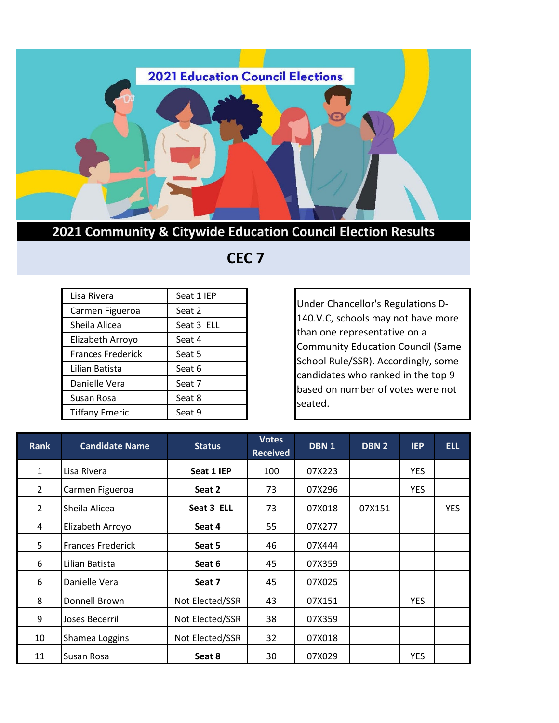

## **2021 Community & Citywide Education Council Election Results**

## **CEC 7**

| Lisa Rivera              | Seat 1 IEP |
|--------------------------|------------|
| Carmen Figueroa          | Seat 2     |
| Sheila Alicea            | Seat 3 ELL |
| Elizabeth Arroyo         | Seat 4     |
| <b>Frances Frederick</b> | Seat 5     |
| Lilian Batista           | Seat 6     |
| Danielle Vera            | Seat 7     |
| Susan Rosa               | Seat 8     |
| <b>Tiffany Emeric</b>    | Seat 9     |

Under Chancellor's Regulations D-140.V.C, schools may not have more than one representative on a Community Education Council (Same School Rule/SSR). Accordingly, some candidates who ranked in the top 9 based on number of votes were not seated.

| <b>Rank</b>    | <b>Candidate Name</b>    | <b>Status</b>   | <b>Votes</b><br><b>Received</b> | DBN <sub>1</sub> | <b>DBN 2</b> | <b>IEP</b> | <b>ELL</b> |
|----------------|--------------------------|-----------------|---------------------------------|------------------|--------------|------------|------------|
| $\mathbf{1}$   | Lisa Rivera              | Seat 1 IEP      | 100                             | 07X223           |              | <b>YES</b> |            |
| $\overline{2}$ | Carmen Figueroa          | Seat 2          | 73                              | 07X296           |              | <b>YES</b> |            |
| $\overline{2}$ | Sheila Alicea            | Seat 3 ELL      | 73                              | 07X018           | 07X151       |            | <b>YES</b> |
| 4              | Elizabeth Arroyo         | Seat 4          | 55                              | 07X277           |              |            |            |
| 5              | <b>Frances Frederick</b> | Seat 5          | 46                              | 07X444           |              |            |            |
| 6              | Lilian Batista           | Seat 6          | 45                              | 07X359           |              |            |            |
| 6              | Danielle Vera            | Seat 7          | 45                              | 07X025           |              |            |            |
| 8              | Donnell Brown            | Not Elected/SSR | 43                              | 07X151           |              | <b>YES</b> |            |
| 9              | Joses Becerril           | Not Elected/SSR | 38                              | 07X359           |              |            |            |
| 10             | Shamea Loggins           | Not Elected/SSR | 32                              | 07X018           |              |            |            |
| 11             | Susan Rosa               | Seat 8          | 30                              | 07X029           |              | <b>YES</b> |            |